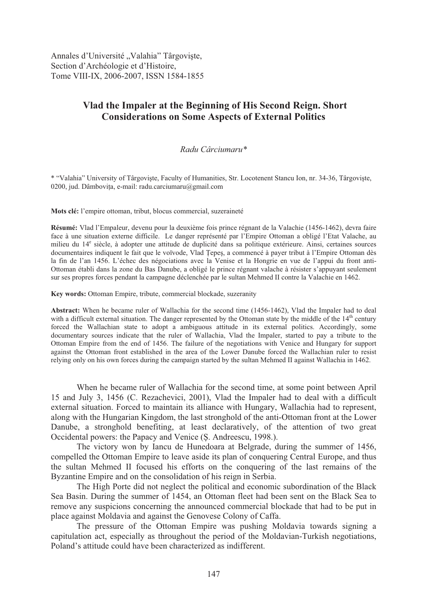Annales d'Université "Valahia" Târgoviște, Section d'Archéologie et d'Histoire, Tome VIII-IX, 2006-2007, ISSN 1584-1855

## **Vlad the Impaler at the Beginning of His Second Reign. Short Considerations on Some Aspects of External Politics**

## *Radu Cârciumaru\**

\* "Valahia" University of Târgoviste, Faculty of Humanities, Str. Locotenent Stancu Ion, nr. 34-36, Târgoviste, 0200, jud. Dâmbovita, e-mail: radu.carciumaru@gmail.com

**Mots clé:** l'empire ottoman, tribut, blocus commercial, suzeraineté

**Résumé:** Vlad l'Empaleur, devenu pour la deuxième fois prince régnant de la Valachie (1456-1462), devra faire face à une situation externe difficile. Le danger représenté par l'Empire Ottoman a obligé l'Etat Valache, au milieu du 14<sup>e</sup> siècle, à adopter une attitude de duplicité dans sa politique extérieure. Ainsi, certaines sources documentaires indiquent le fait que le voïvode, Vlad Tepes, a commencé à payer tribut à l'Empire Ottoman dès la fin de l'an 1456. L'échec des négociations avec la Venise et la Hongrie en vue de l'appui du front anti-Ottoman établi dans la zone du Bas Danube, a obligé le prince régnant valache à résister s'appuyant seulement sur ses propres forces pendant la campagne déclenchée par le sultan Mehmed II contre la Valachie en 1462.

**Key words:** Ottoman Empire, tribute, commercial blockade, suzeranity

**Abstract:** When he became ruler of Wallachia for the second time (1456-1462), Vlad the Impaler had to deal with a difficult external situation. The danger represented by the Ottoman state by the middle of the 14<sup>th</sup> century forced the Wallachian state to adopt a ambiguous attitude in its external politics. Accordingly, some documentary sources indicate that the ruler of Wallachia, Vlad the Impaler, started to pay a tribute to the Ottoman Empire from the end of 1456. The failure of the negotiations with Venice and Hungary for support against the Ottoman front established in the area of the Lower Danube forced the Wallachian ruler to resist relying only on his own forces during the campaign started by the sultan Mehmed II against Wallachia in 1462.

When he became ruler of Wallachia for the second time, at some point between April 15 and July 3, 1456 (C. Rezachevici, 2001), Vlad the Impaler had to deal with a difficult external situation. Forced to maintain its alliance with Hungary, Wallachia had to represent, along with the Hungarian Kingdom, the last stronghold of the anti-Ottoman front at the Lower Danube, a stronghold benefiting, at least declaratively, of the attention of two great Occidental powers: the Papacy and Venice (S. Andreescu, 1998.).

The victory won by Iancu de Hunedoara at Belgrade, during the summer of 1456, compelled the Ottoman Empire to leave aside its plan of conquering Central Europe, and thus the sultan Mehmed II focused his efforts on the conquering of the last remains of the Byzantine Empire and on the consolidation of his reign in Serbia.

The High Porte did not neglect the political and economic subordination of the Black Sea Basin. During the summer of 1454, an Ottoman fleet had been sent on the Black Sea to remove any suspicions concerning the announced commercial blockade that had to be put in place against Moldavia and against the Genovese Colony of Caffa.

The pressure of the Ottoman Empire was pushing Moldavia towards signing a capitulation act, especially as throughout the period of the Moldavian-Turkish negotiations, Poland's attitude could have been characterized as indifferent.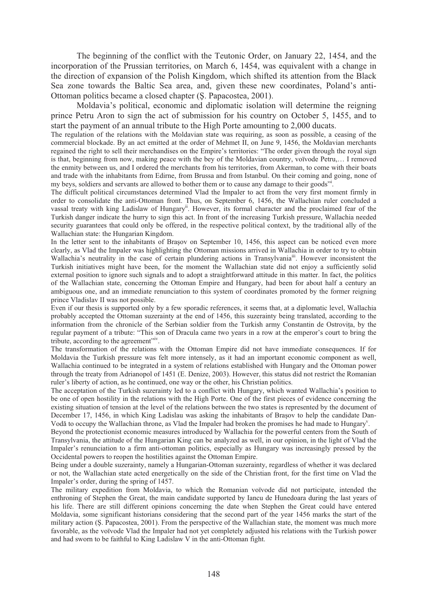The beginning of the conflict with the Teutonic Order, on January 22, 1454, and the incorporation of the Prussian territories, on March 6, 1454, was equivalent with a change in the direction of expansion of the Polish Kingdom, which shifted its attention from the Black Sea zone towards the Baltic Sea area, and, given these new coordinates, Poland's anti-Ottoman politics became a closed chapter (\$. Papacostea, 2001).

Moldavia's political, economic and diplomatic isolation will determine the reigning prince Petru Aron to sign the act of submission for his country on October 5, 1455, and to start the payment of an annual tribute to the High Porte amounting to 2,000 ducats.

The regulation of the relations with the Moldavian state was requiring, as soon as possible, a ceasing of the commercial blockade. By an act emitted at the order of Mehmet II, on June 9, 1456, the Moldavian merchants regained the right to sell their merchandises on the Empire's territories: "The order given through the royal sign is that, beginning from now, making peace with the bey of the Moldavian country, voïvode Petru,… I removed the enmity between us, and I ordered the merchants from his territories, from Akerman, to come with their boats and trade with the inhabitants from Edirne, from Brussa and from Istanbul. On their coming and going, none of my beys, soldiers and servants are allowed to bother them or to cause any damage to their goods".

The difficult political circumstances determined Vlad the Impaler to act from the very first moment firmly in order to consolidate the anti-Ottoman front. Thus, on September 6, 1456, the Wallachian ruler concluded a vassal treaty with king Ladislaw of Hungary<sup>ii</sup>. However, its formal character and the proclaimed fear of the Turkish danger indicate the hurry to sign this act. In front of the increasing Turkish pressure, Wallachia needed security guarantees that could only be offered, in the respective political context, by the traditional ally of the Wallachian state: the Hungarian Kingdom.

In the letter sent to the inhabitants of Brasov on September 10, 1456, this aspect can be noticed even more clearly, as Vlad the Impaler was highlighting the Ottoman missions arrived in Wallachia in order to try to obtain Wallachia's neutrality in the case of certain plundering actions in Transylvania<sup>iii</sup>. However inconsistent the Turkish initiatives might have been, for the moment the Wallachian state did not enjoy a sufficiently solid external position to ignore such signals and to adopt a straightforward attitude in this matter. In fact, the politics of the Wallachian state, concerning the Ottoman Empire and Hungary, had been for about half a century an ambiguous one, and an immediate renunciation to this system of coordinates promoted by the former reigning prince Vladislav II was not possible.

Even if our thesis is supported only by a few sporadic references, it seems that, at a diplomatic level, Wallachia probably accepted the Ottoman suzerainty at the end of 1456, this suzerainty being translated, according to the information from the chronicle of the Serbian soldier from the Turkish army Constantin de Ostrovita, by the regular payment of a tribute: "This son of Dracula came two years in a row at the emperor's court to bring the tribute, according to the agreement"<sup>iv</sup>.

The transformation of the relations with the Ottoman Empire did not have immediate consequences. If for Moldavia the Turkish pressure was felt more intensely, as it had an important economic component as well, Wallachia continued to be integrated in a system of relations established with Hungary and the Ottoman power through the treaty from Adrianopol of 1451 (E. Denize, 2003). However, this status did not restrict the Romanian ruler's liberty of action, as he continued, one way or the other, his Christian politics.

The acceptation of the Turkish suzerainty led to a conflict with Hungary, which wanted Wallachia's position to be one of open hostility in the relations with the High Porte. One of the first pieces of evidence concerning the existing situation of tension at the level of the relations between the two states is represented by the document of December 17, 1456, in which King Ladislau was asking the inhabitants of Brasov to help the candidate Dan-Vodă to occupy the Wallachian throne, as Vlad the Impaler had broken the promises he had made to Hungary<sup>v</sup>.

Beyond the protectionist economic measures introduced by Wallachia for the powerful centers from the South of Transylvania, the attitude of the Hungarian King can be analyzed as well, in our opinion, in the light of Vlad the Impaler's renunciation to a firm anti-ottoman politics, especially as Hungary was increasingly pressed by the Occidental powers to reopen the hostilities against the Ottoman Empire.

Being under a double suzerainty, namely a Hungarian-Ottoman suzerainty, regardless of whether it was declared or not, the Wallachian state acted energetically on the side of the Christian front, for the first time on Vlad the Impaler's order, during the spring of 1457.

The military expedition from Moldavia, to which the Romanian voïvode did not participate, intended the enthroning of Stephen the Great, the main candidate supported by Iancu de Hunedoara during the last years of his life. There are still different opinions concerning the date when Stephen the Great could have entered Moldavia, some significant historians considering that the second part of the year 1456 marks the start of the military action (S. Papacostea, 2001). From the perspective of the Wallachian state, the moment was much more favorable, as the voïvode Vlad the Impaler had not yet completely adjusted his relations with the Turkish power and had sworn to be faithful to King Ladislaw V in the anti-Ottoman fight.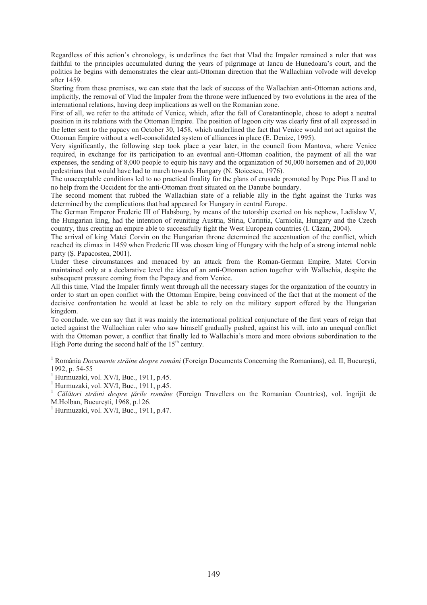Regardless of this action's chronology, is underlines the fact that Vlad the Impaler remained a ruler that was faithful to the principles accumulated during the years of pilgrimage at Iancu de Hunedoara's court, and the politics he begins with demonstrates the clear anti-Ottoman direction that the Wallachian voïvode will develop after 1459.

Starting from these premises, we can state that the lack of success of the Wallachian anti-Ottoman actions and, implicitly, the removal of Vlad the Impaler from the throne were influenced by two evolutions in the area of the international relations, having deep implications as well on the Romanian zone.

First of all, we refer to the attitude of Venice, which, after the fall of Constantinople, chose to adopt a neutral position in its relations with the Ottoman Empire. The position of lagoon city was clearly first of all expressed in the letter sent to the papacy on October 30, 1458, which underlined the fact that Venice would not act against the Ottoman Empire without a well-consolidated system of alliances in place (E. Denize, 1995).

Very significantly, the following step took place a year later, in the council from Mantova, where Venice required, in exchange for its participation to an eventual anti-Ottoman coalition, the payment of all the war expenses, the sending of 8,000 people to equip his navy and the organization of 50,000 horsemen and of 20,000 pedestrians that would have had to march towards Hungary (N. Stoicescu, 1976).

The unacceptable conditions led to no practical finality for the plans of crusade promoted by Pope Pius II and to no help from the Occident for the anti-Ottoman front situated on the Danube boundary.

The second moment that rubbed the Wallachian state of a reliable ally in the fight against the Turks was determined by the complications that had appeared for Hungary in central Europe.

The German Emperor Frederic III of Habsburg, by means of the tutorship exerted on his nephew, Ladislaw V, the Hungarian king, had the intention of reuniting Austria, Stiria, Carintia, Carniolia, Hungary and the Czech country, thus creating an empire able to successfully fight the West European countries (I. Căzan, 2004).

The arrival of king Matei Corvin on the Hungarian throne determined the accentuation of the conflict, which reached its climax in 1459 when Frederic III was chosen king of Hungary with the help of a strong internal noble party (S. Papacostea, 2001).

Under these circumstances and menaced by an attack from the Roman-German Empire, Matei Corvin maintained only at a declarative level the idea of an anti-Ottoman action together with Wallachia, despite the subsequent pressure coming from the Papacy and from Venice.

All this time, Vlad the Impaler firmly went through all the necessary stages for the organization of the country in order to start an open conflict with the Ottoman Empire, being convinced of the fact that at the moment of the decisive confrontation he would at least be able to rely on the military support offered by the Hungarian kingdom.

To conclude, we can say that it was mainly the international political conjuncture of the first years of reign that acted against the Wallachian ruler who saw himself gradually pushed, against his will, into an unequal conflict with the Ottoman power, a conflict that finally led to Wallachia's more and more obvious subordination to the High Porte during the second half of the  $15<sup>th</sup>$  century.

<sup>1</sup> România *Documente străine despre români* (Foreign Documents Concerning the Romanians), ed. II, București, 1992, p. 54-55

<sup>1</sup> Hurmuzaki, vol. XV/I, Buc., 1911, p.45.

 $<sup>1</sup>$  Hurmuzaki, vol. XV/I, Buc., 1911, p.45.</sup>

<sup>1</sup> Călători străini despre țările române (Foreign Travellers on the Romanian Countries), vol. îngrijit de M.Holban, București, 1968, p.126.

<sup>1</sup> Hurmuzaki, vol. XV/I, Buc., 1911, p.47.